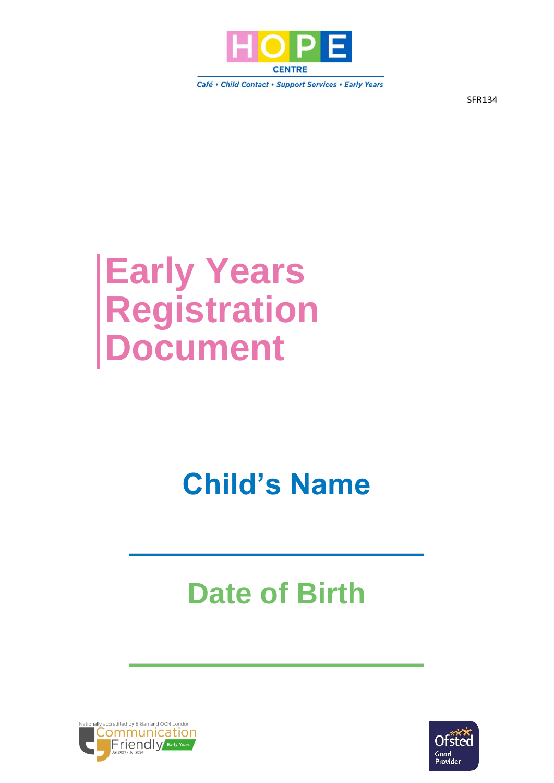

Café • Child Contact • Support Services • Early Years

SFR134

# **Early Years Registration Document**

## **Child's Name**

# **Date of Birth**



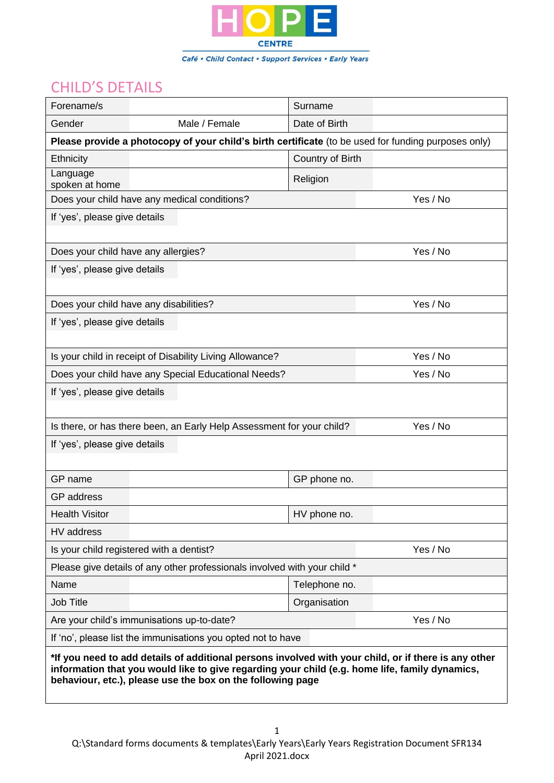

### CHILD'S DETAILS

| Forename/s                                                                                                                                                                                                                                                           |                                                                                                     | Surname          |          |  |  |  |
|----------------------------------------------------------------------------------------------------------------------------------------------------------------------------------------------------------------------------------------------------------------------|-----------------------------------------------------------------------------------------------------|------------------|----------|--|--|--|
| Gender                                                                                                                                                                                                                                                               | Male / Female                                                                                       | Date of Birth    |          |  |  |  |
|                                                                                                                                                                                                                                                                      | Please provide a photocopy of your child's birth certificate (to be used for funding purposes only) |                  |          |  |  |  |
| Ethnicity                                                                                                                                                                                                                                                            |                                                                                                     | Country of Birth |          |  |  |  |
| Language<br>spoken at home                                                                                                                                                                                                                                           |                                                                                                     | Religion         |          |  |  |  |
|                                                                                                                                                                                                                                                                      | Does your child have any medical conditions?                                                        |                  | Yes / No |  |  |  |
| If 'yes', please give details                                                                                                                                                                                                                                        |                                                                                                     |                  |          |  |  |  |
|                                                                                                                                                                                                                                                                      |                                                                                                     |                  |          |  |  |  |
| Does your child have any allergies?                                                                                                                                                                                                                                  |                                                                                                     |                  | Yes / No |  |  |  |
| If 'yes', please give details                                                                                                                                                                                                                                        |                                                                                                     |                  |          |  |  |  |
|                                                                                                                                                                                                                                                                      |                                                                                                     |                  |          |  |  |  |
|                                                                                                                                                                                                                                                                      | Does your child have any disabilities?                                                              |                  | Yes / No |  |  |  |
| If 'yes', please give details                                                                                                                                                                                                                                        |                                                                                                     |                  |          |  |  |  |
|                                                                                                                                                                                                                                                                      |                                                                                                     |                  |          |  |  |  |
|                                                                                                                                                                                                                                                                      | Is your child in receipt of Disability Living Allowance?                                            |                  | Yes / No |  |  |  |
|                                                                                                                                                                                                                                                                      | Does your child have any Special Educational Needs?                                                 |                  | Yes / No |  |  |  |
| If 'yes', please give details                                                                                                                                                                                                                                        |                                                                                                     |                  |          |  |  |  |
|                                                                                                                                                                                                                                                                      |                                                                                                     |                  |          |  |  |  |
| Is there, or has there been, an Early Help Assessment for your child?<br>Yes / No                                                                                                                                                                                    |                                                                                                     |                  |          |  |  |  |
| If 'yes', please give details                                                                                                                                                                                                                                        |                                                                                                     |                  |          |  |  |  |
|                                                                                                                                                                                                                                                                      |                                                                                                     |                  |          |  |  |  |
| GP name                                                                                                                                                                                                                                                              |                                                                                                     | GP phone no.     |          |  |  |  |
| <b>GP</b> address                                                                                                                                                                                                                                                    |                                                                                                     |                  |          |  |  |  |
| <b>Health Visitor</b>                                                                                                                                                                                                                                                |                                                                                                     | HV phone no.     |          |  |  |  |
| HV address                                                                                                                                                                                                                                                           |                                                                                                     |                  |          |  |  |  |
|                                                                                                                                                                                                                                                                      | Is your child registered with a dentist?                                                            |                  | Yes / No |  |  |  |
| Please give details of any other professionals involved with your child *                                                                                                                                                                                            |                                                                                                     |                  |          |  |  |  |
| Name                                                                                                                                                                                                                                                                 |                                                                                                     | Telephone no.    |          |  |  |  |
| <b>Job Title</b>                                                                                                                                                                                                                                                     |                                                                                                     | Organisation     |          |  |  |  |
|                                                                                                                                                                                                                                                                      | Are your child's immunisations up-to-date?                                                          |                  | Yes / No |  |  |  |
| If 'no', please list the immunisations you opted not to have                                                                                                                                                                                                         |                                                                                                     |                  |          |  |  |  |
| *If you need to add details of additional persons involved with your child, or if there is any other<br>information that you would like to give regarding your child (e.g. home life, family dynamics,<br>behaviour, etc.), please use the box on the following page |                                                                                                     |                  |          |  |  |  |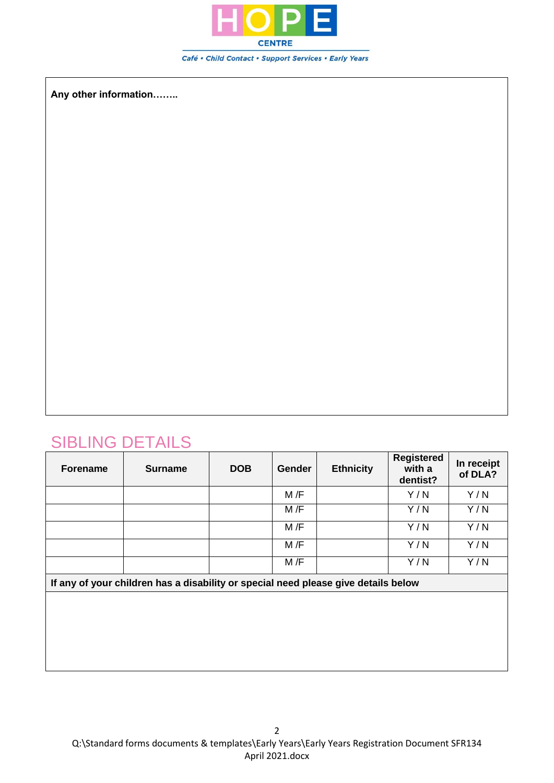

**Any other information……..**

## SIBLING DETAILS

| <b>Forename</b> | <b>Surname</b> | <b>DOB</b> | <b>Gender</b> | <b>Ethnicity</b> | <b>Registered</b><br>with a<br>dentist? | In receipt<br>of DLA? |
|-----------------|----------------|------------|---------------|------------------|-----------------------------------------|-----------------------|
|                 |                |            | M/F           |                  | Y/N                                     | Y/N                   |
|                 |                |            | M/F           |                  | Y/N                                     | Y/N                   |
|                 |                |            | M/F           |                  | Y/N                                     | Y/N                   |
|                 |                |            | M/F           |                  | Y/N                                     | Y/N                   |
|                 |                |            | M/F           |                  | Y/N                                     | Y/N                   |

**If any of your children has a disability or special need please give details below**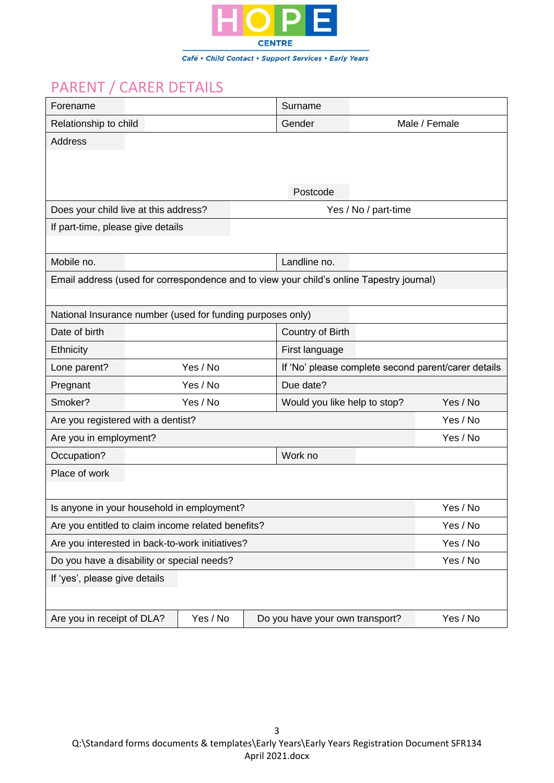

## PARENT / CARER DETAILS

| Forename                                                      |                               |          |  | Surname                                                                                  |          |                                                     |  |
|---------------------------------------------------------------|-------------------------------|----------|--|------------------------------------------------------------------------------------------|----------|-----------------------------------------------------|--|
| Relationship to child                                         |                               |          |  | Gender                                                                                   |          | Male / Female                                       |  |
| <b>Address</b>                                                |                               |          |  |                                                                                          |          |                                                     |  |
|                                                               |                               |          |  |                                                                                          |          |                                                     |  |
|                                                               |                               |          |  | Postcode                                                                                 |          |                                                     |  |
| Does your child live at this address?<br>Yes / No / part-time |                               |          |  |                                                                                          |          |                                                     |  |
| If part-time, please give details                             |                               |          |  |                                                                                          |          |                                                     |  |
|                                                               |                               |          |  |                                                                                          |          |                                                     |  |
| Mobile no.                                                    |                               |          |  | Landline no.                                                                             |          |                                                     |  |
|                                                               |                               |          |  | Email address (used for correspondence and to view your child's online Tapestry journal) |          |                                                     |  |
|                                                               |                               |          |  |                                                                                          |          |                                                     |  |
| National Insurance number (used for funding purposes only)    |                               |          |  |                                                                                          |          |                                                     |  |
| Date of birth                                                 |                               |          |  | Country of Birth                                                                         |          |                                                     |  |
| Ethnicity                                                     |                               |          |  | First language                                                                           |          |                                                     |  |
| Lone parent?                                                  |                               | Yes / No |  |                                                                                          |          | If 'No' please complete second parent/carer details |  |
| Pregnant                                                      |                               | Yes / No |  | Due date?                                                                                |          |                                                     |  |
| Smoker?                                                       |                               | Yes / No |  | Would you like help to stop?                                                             |          | Yes / No                                            |  |
| Are you registered with a dentist?                            |                               |          |  |                                                                                          |          | Yes / No                                            |  |
| Are you in employment?                                        |                               |          |  |                                                                                          |          | Yes / No                                            |  |
| Occupation?                                                   |                               |          |  | Work no                                                                                  |          |                                                     |  |
| Place of work                                                 |                               |          |  |                                                                                          |          |                                                     |  |
|                                                               |                               |          |  |                                                                                          |          |                                                     |  |
| Is anyone in your household in employment?                    |                               |          |  |                                                                                          |          | Yes / No                                            |  |
| Are you entitled to claim income related benefits?            |                               |          |  |                                                                                          | Yes / No |                                                     |  |
| Are you interested in back-to-work initiatives?               |                               |          |  |                                                                                          | Yes / No |                                                     |  |
| Do you have a disability or special needs?                    |                               |          |  |                                                                                          |          | Yes / No                                            |  |
|                                                               | If 'yes', please give details |          |  |                                                                                          |          |                                                     |  |
|                                                               |                               |          |  |                                                                                          |          |                                                     |  |
| Are you in receipt of DLA?                                    |                               | Yes / No |  | Do you have your own transport?                                                          |          | Yes / No                                            |  |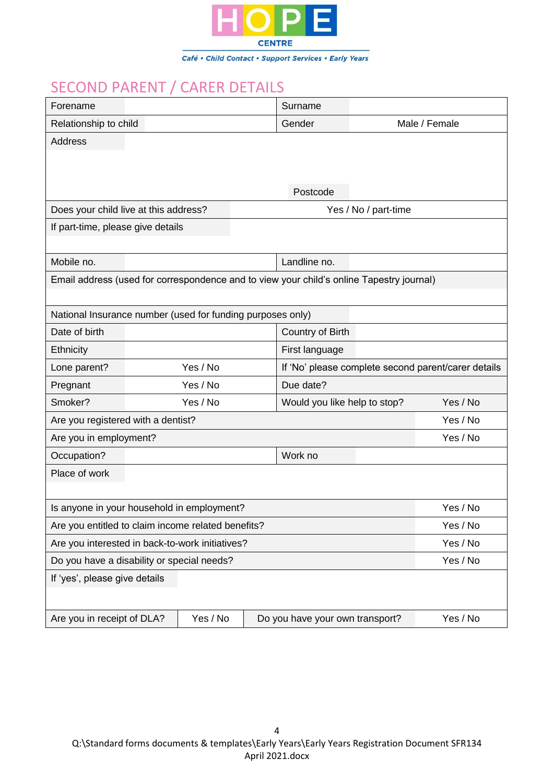

### SECOND PARENT / CARER DETAILS

| Forename                                                   |  |          |  | Surname                                                                                  |                      |                                                     |
|------------------------------------------------------------|--|----------|--|------------------------------------------------------------------------------------------|----------------------|-----------------------------------------------------|
| Relationship to child                                      |  |          |  | Gender                                                                                   |                      | Male / Female                                       |
| Address                                                    |  |          |  |                                                                                          |                      |                                                     |
|                                                            |  |          |  |                                                                                          |                      |                                                     |
|                                                            |  |          |  |                                                                                          |                      |                                                     |
|                                                            |  |          |  | Postcode                                                                                 |                      |                                                     |
| Does your child live at this address?                      |  |          |  |                                                                                          | Yes / No / part-time |                                                     |
| If part-time, please give details                          |  |          |  |                                                                                          |                      |                                                     |
|                                                            |  |          |  |                                                                                          |                      |                                                     |
| Mobile no.                                                 |  |          |  | Landline no.                                                                             |                      |                                                     |
|                                                            |  |          |  | Email address (used for correspondence and to view your child's online Tapestry journal) |                      |                                                     |
|                                                            |  |          |  |                                                                                          |                      |                                                     |
| National Insurance number (used for funding purposes only) |  |          |  |                                                                                          |                      |                                                     |
| Date of birth                                              |  |          |  | Country of Birth                                                                         |                      |                                                     |
| Ethnicity                                                  |  |          |  | First language                                                                           |                      |                                                     |
| Lone parent?                                               |  | Yes / No |  |                                                                                          |                      | If 'No' please complete second parent/carer details |
| Pregnant                                                   |  | Yes / No |  | Due date?                                                                                |                      |                                                     |
| Smoker?                                                    |  | Yes / No |  | Would you like help to stop?                                                             |                      | Yes / No                                            |
| Are you registered with a dentist?                         |  |          |  |                                                                                          |                      | Yes / No                                            |
| Are you in employment?                                     |  |          |  |                                                                                          |                      | Yes / No                                            |
| Occupation?                                                |  |          |  | Work no                                                                                  |                      |                                                     |
| Place of work                                              |  |          |  |                                                                                          |                      |                                                     |
|                                                            |  |          |  |                                                                                          |                      |                                                     |
| Is anyone in your household in employment?                 |  |          |  |                                                                                          |                      | Yes / No                                            |
| Are you entitled to claim income related benefits?         |  |          |  |                                                                                          | Yes / No             |                                                     |
| Are you interested in back-to-work initiatives?            |  |          |  |                                                                                          | Yes / No             |                                                     |
| Do you have a disability or special needs?                 |  |          |  |                                                                                          |                      | Yes / No                                            |
| If 'yes', please give details                              |  |          |  |                                                                                          |                      |                                                     |
|                                                            |  |          |  |                                                                                          |                      |                                                     |
| Are you in receipt of DLA?                                 |  | Yes / No |  | Do you have your own transport?                                                          |                      | Yes / No                                            |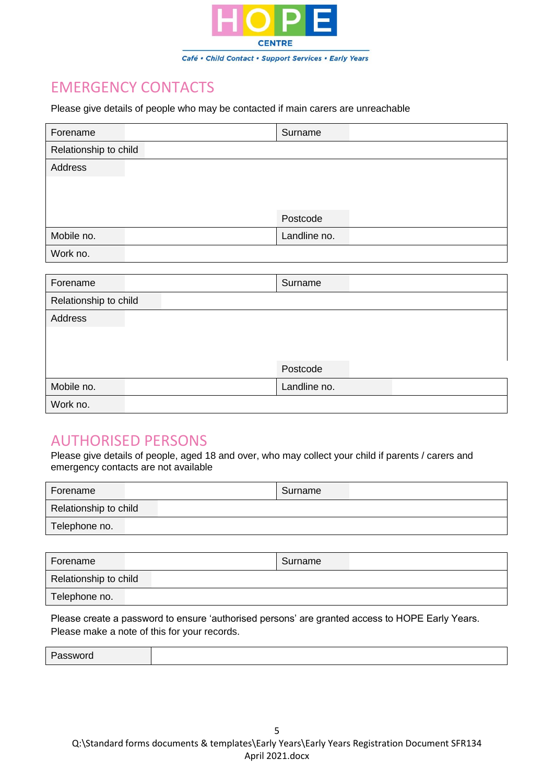

### EMERGENCY CONTACTS

Please give details of people who may be contacted if main carers are unreachable

| Forename              | Surname      |
|-----------------------|--------------|
| Relationship to child |              |
| Address               |              |
|                       |              |
|                       |              |
|                       | Postcode     |
| Mobile no.            | Landline no. |
| Work no.              |              |
|                       |              |
| Forename              | Surname      |
| Relationship to child |              |
| Address               |              |
|                       |              |
|                       |              |
|                       | Postcode     |
| Mobile no.            | Landline no. |
| Work no.              |              |

#### AUTHORISED PERSONS

Please give details of people, aged 18 and over, who may collect your child if parents / carers and emergency contacts are not available

| Forename              | Surname |  |  |  |  |
|-----------------------|---------|--|--|--|--|
| Relationship to child |         |  |  |  |  |
| Telephone no.         |         |  |  |  |  |

| Forename              | Surname |
|-----------------------|---------|
| Relationship to child |         |
| Telephone no.         |         |

Please create a password to ensure 'authorised persons' are granted access to HOPE Early Years. Please make a note of this for your records.

Password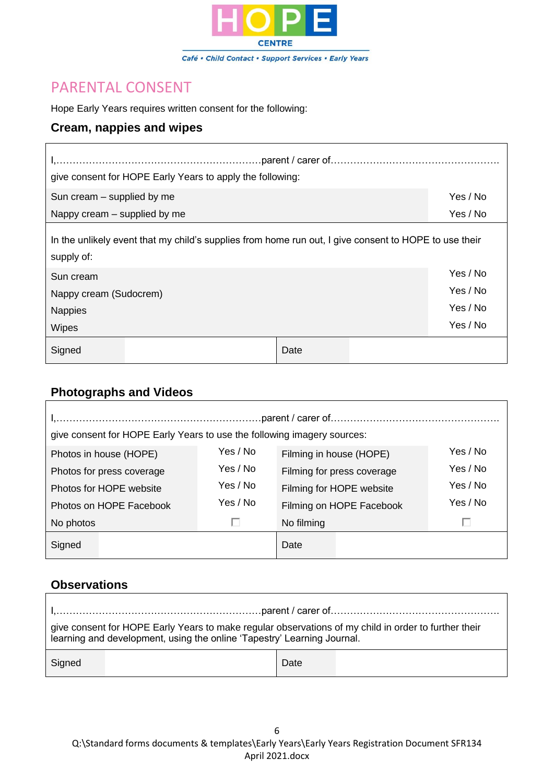

#### PARENTAL CONSENT

Hope Early Years requires written consent for the following:

#### **Cream, nappies and wipes**

| 1, ………………………………………………………………parent / carer of……………………………………………… |          |
|----------------------------------------------------------------|----------|
| give consent for HOPE Early Years to apply the following:      |          |
| Sun cream – supplied by me                                     | Yes / No |
| Nappy cream $-$ supplied by me                                 | Yes / No |

In the unlikely event that my child's supplies from home run out, I give consent to HOPE to use their supply of:

| Sun cream              |      | Yes / No |
|------------------------|------|----------|
| Nappy cream (Sudocrem) |      | Yes / No |
| <b>Nappies</b>         |      | Yes / No |
| <b>Wipes</b>           |      | Yes / No |
| Signed                 | Date |          |

#### **Photographs and Videos**

| give consent for HOPE Early Years to use the following imagery sources: |          |                            |          |  |  |  |
|-------------------------------------------------------------------------|----------|----------------------------|----------|--|--|--|
| Yes / No<br>Photos in house (HOPE)                                      |          | Filming in house (HOPE)    | Yes / No |  |  |  |
| Photos for press coverage                                               | Yes / No | Filming for press coverage | Yes / No |  |  |  |
| Photos for HOPE website                                                 | Yes / No | Filming for HOPE website   | Yes / No |  |  |  |
| Photos on HOPE Facebook                                                 | Yes / No | Filming on HOPE Facebook   | Yes / No |  |  |  |
| No photos                                                               | U        | No filming                 | U        |  |  |  |
| Signed                                                                  |          | Date                       |          |  |  |  |

#### **Observations**

| <u>I,………………………………………………………parent / carer of………………………………………………</u>                                                                                                               |      |  |  |  |  |  |
|---------------------------------------------------------------------------------------------------------------------------------------------------------------------------------|------|--|--|--|--|--|
| give consent for HOPE Early Years to make regular observations of my child in order to further their<br>learning and development, using the online 'Tapestry' Learning Journal. |      |  |  |  |  |  |
| Signed                                                                                                                                                                          | Date |  |  |  |  |  |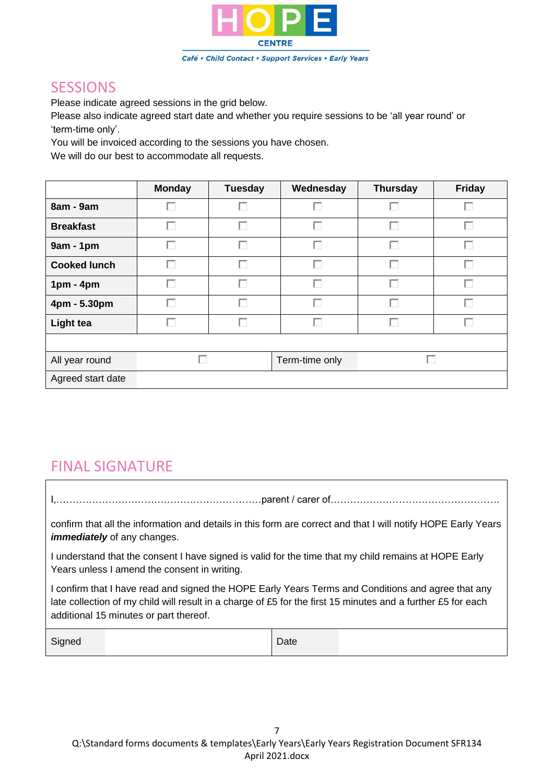

#### **SESSIONS**

Please indicate agreed sessions in the grid below.

Please also indicate agreed start date and whether you require sessions to be 'all year round' or 'term-time only'.

You will be invoiced according to the sessions you have chosen.

We will do our best to accommodate all requests.

|                     | <b>Monday</b> | <b>Tuesday</b> | Wednesday      | <b>Thursday</b> | <b>Friday</b> |
|---------------------|---------------|----------------|----------------|-----------------|---------------|
| 8am - 9am           | г             | ш              | L              | Г               | L.            |
| <b>Breakfast</b>    | г             | П              | П              | г               | г             |
| $9am - 1pm$         | Г             | г              | г              | Г               | г             |
| <b>Cooked lunch</b> | г             | П              | п              | г               | г             |
| $1pm - 4pm$         | П             | ш              | г              | г               | ш             |
| 4pm - 5.30pm        | П             | ш              | П              | Г               | г             |
| <b>Light tea</b>    | П             | г              | П              | Г               | г             |
|                     |               |                |                |                 |               |
| All year round      |               |                | Term-time only |                 |               |
| Agreed start date   |               |                |                |                 |               |

#### FINAL SIGNATURE

I,………………………………………………………parent / carer of…………………………………………….

confirm that all the information and details in this form are correct and that I will notify HOPE Early Years *immediately* of any changes.

I understand that the consent I have signed is valid for the time that my child remains at HOPE Early Years unless I amend the consent in writing.

I confirm that I have read and signed the HOPE Early Years Terms and Conditions and agree that any late collection of my child will result in a charge of £5 for the first 15 minutes and a further £5 for each additional 15 minutes or part thereof.

| $\sim$<br>180<br>. |  | Date |  |
|--------------------|--|------|--|
|--------------------|--|------|--|